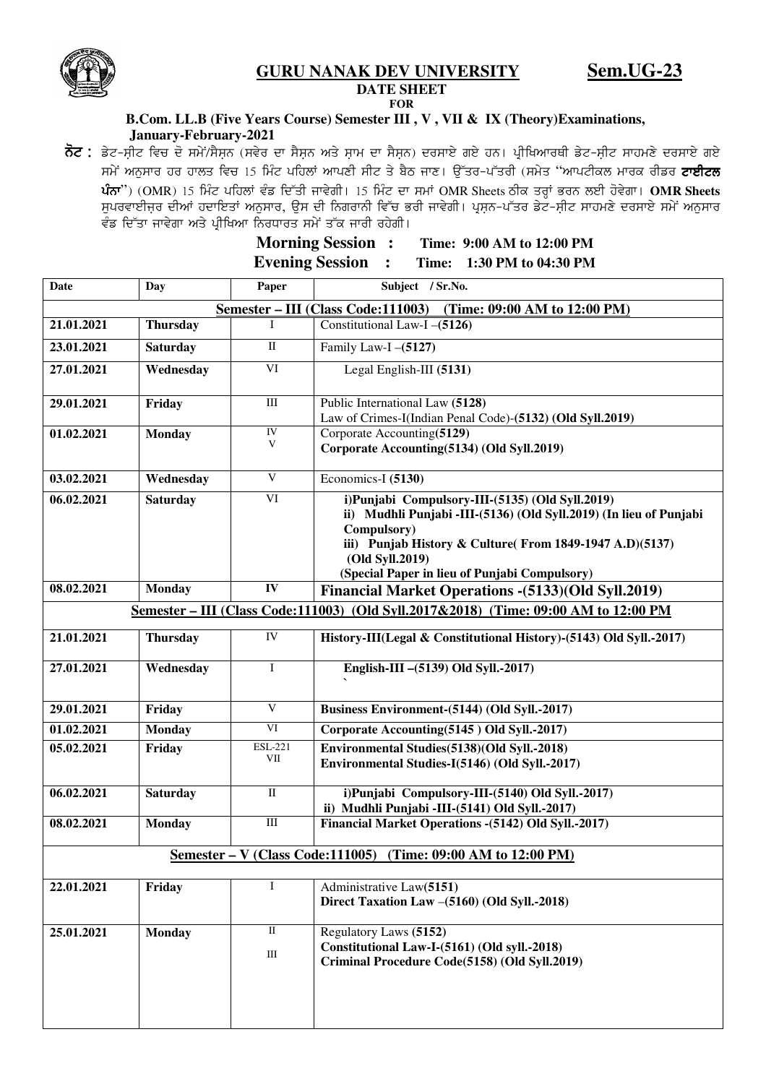**GURU NANAK DEV UNIVERSITY Sem.UG-23**



**DATE SHEET FOR** 

## **B.Com. LL.B (Five Years Course) Semester III , V , VII & IX (Theory)Examinations, January-February-2021**

ਨੋਟ : ਡੇਟ-ਸ਼ੀਟ ਵਿਚ ਦੋ ਸਮੇਂ/ਸੈਸ਼ਨ (ਸਵੇਰ ਦਾ ਸੈਸ਼ਨ ਅਤੇ ਸ਼ਾਮ ਦਾ ਸੈਸ਼ਨ) ਦਰਸਾਏ ਗਏ ਹਨ। ਪ੍ਰੀਖਿਆਰਥੀ ਡੇਟ-ਸ਼ੀਟ ਸਾਹਮਣੇ ਦਰਸਾਏ ਗਏ *;w/A nB[;ko jo jkbs ftu 15 fwzN gfjbK nkgDh ;hN s/ p?m ikD. T[Zso^gZsoh (;w/s* "*nkgNheb wkoe ohvo NkJhNb*   $\mathbf{\hat{u}}$ ਨਾ") (OMR) 15 ਮਿੰਟ ਪਹਿਲਾਂ ਵੰਡ ਦਿੱਤੀ ਜਾਵੇਗੀ। 15 ਮਿੰਟ ਦਾ ਸਮਾਂ OMR Sheets ਠੀਕ ਤਰ੍ਹਾਂ ਭਰਨ ਲਈ ਹੋਵੇਗਾ। **OMR Sheets** ,<br>ਸੁਪਰਵਾਈਜਰ ਦੀਆਂ ਹਦਾਇਤਾਂ ਅਨੁਸਾਰ, ਉਸ ਦੀ ਨਿਗਰਾਨੀ ਵਿੱਚ ਭਰੀ ਜਾਵੇਗੀ। ਪ੍ਰਸਨ-ਪੱਤਰ ਡੇਟ-ਸੀਟ ਸਾਹਮਣੇ ਦਰਸਾਏ ਸਮੇਂ ਅਨੁਸਾਰ .<br>*ਵੰ*ਡ ਦਿੱਤਾ ਜਾਵੇਗਾ ਅਤੇ ਪੀਖਿਆ ਨਿਰਧਾਰਤ ਸਮੇਂ ਤੱਕ ਜਾਰੀ ਰਹੇਗੀ।

> **Morning Session : Time: 9:00 AM to 12:00 PM Evening Session : Time: 1:30 PM to 04:30 PM**

| <b>Date</b>                                                                         | Day             | Paper                 | Subject / Sr.No.                                                                                                                                                                                                                                                    |  |  |  |
|-------------------------------------------------------------------------------------|-----------------|-----------------------|---------------------------------------------------------------------------------------------------------------------------------------------------------------------------------------------------------------------------------------------------------------------|--|--|--|
| Semester - III (Class Code:111003)<br>(Time: 09:00 AM to 12:00 PM)                  |                 |                       |                                                                                                                                                                                                                                                                     |  |  |  |
| 21.01.2021                                                                          | <b>Thursday</b> |                       | Constitutional Law-I -(5126)                                                                                                                                                                                                                                        |  |  |  |
| 23.01.2021                                                                          | <b>Saturday</b> | $\rm II$              | Family Law-I $-(5127)$                                                                                                                                                                                                                                              |  |  |  |
| 27.01.2021                                                                          | Wednesday       | VI                    | Legal English-III (5131)                                                                                                                                                                                                                                            |  |  |  |
| 29.01.2021                                                                          | Friday          | $\rm III$             | Public International Law (5128)<br>Law of Crimes-I(Indian Penal Code)-(5132) (Old Syll.2019)                                                                                                                                                                        |  |  |  |
| 01.02.2021                                                                          | <b>Monday</b>   | IV<br>V               | Corporate Accounting(5129)<br>Corporate Accounting(5134) (Old Syll.2019)                                                                                                                                                                                            |  |  |  |
| 03.02.2021                                                                          | Wednesday       | $\overline{V}$        | Economics-I (5130)                                                                                                                                                                                                                                                  |  |  |  |
| 06.02.2021                                                                          | <b>Saturday</b> | VI                    | i)Punjabi Compulsory-III-(5135) (Old Syll.2019)<br>ii) Mudhli Punjabi -III-(5136) (Old Syll.2019) (In lieu of Punjabi<br>Compulsory)<br>iii) Punjab History & Culture(From 1849-1947 A.D)(5137)<br>(Old Syll.2019)<br>(Special Paper in lieu of Punjabi Compulsory) |  |  |  |
| 08.02.2021                                                                          | <b>Monday</b>   | IV                    | Financial Market Operations - (5133) (Old Syll.2019)                                                                                                                                                                                                                |  |  |  |
| Semester – III (Class Code:111003) (Old Syll.2017&2018) (Time: 09:00 AM to 12:00 PM |                 |                       |                                                                                                                                                                                                                                                                     |  |  |  |
| 21.01.2021                                                                          | <b>Thursday</b> | IV                    | History-III(Legal & Constitutional History)-(5143) Old Syll.-2017)                                                                                                                                                                                                  |  |  |  |
| 27.01.2021                                                                          | Wednesday       | $\mathbf{I}$          | English-III - (5139) Old Syll.-2017)                                                                                                                                                                                                                                |  |  |  |
| 29.01.2021                                                                          | Friday          | V                     | Business Environment-(5144) (Old Syll.-2017)                                                                                                                                                                                                                        |  |  |  |
| 01.02.2021                                                                          | <b>Monday</b>   | VI                    | Corporate Accounting(5145) Old Syll.-2017)                                                                                                                                                                                                                          |  |  |  |
| 05.02.2021                                                                          | Friday          | <b>ESL-221</b><br>VII | Environmental Studies(5138)(Old Syll.-2018)<br>Environmental Studies-I(5146) (Old Syll.-2017)                                                                                                                                                                       |  |  |  |
| 06.02.2021                                                                          | <b>Saturday</b> | $\rm II$              | i)Punjabi Compulsory-III-(5140) Old Syll.-2017)<br>ii) Mudhli Punjabi -III-(5141) Old Syll.-2017)                                                                                                                                                                   |  |  |  |
| 08.02.2021                                                                          | <b>Monday</b>   | $\rm III$             | <b>Financial Market Operations - (5142) Old Syll.-2017)</b>                                                                                                                                                                                                         |  |  |  |
| Semester – V (Class Code:111005) (Time: 09:00 AM to 12:00 PM)                       |                 |                       |                                                                                                                                                                                                                                                                     |  |  |  |
| 22.01.2021                                                                          | Friday          | $\mathbf I$           | Administrative Law(5151)<br>Direct Taxation Law -(5160) (Old Syll.-2018)                                                                                                                                                                                            |  |  |  |
| 25.01.2021                                                                          | <b>Monday</b>   | $\rm II$<br>$\rm III$ | Regulatory Laws (5152)<br>Constitutional Law-I-(5161) (Old syll.-2018)<br>Criminal Procedure Code(5158) (Old Syll.2019)                                                                                                                                             |  |  |  |